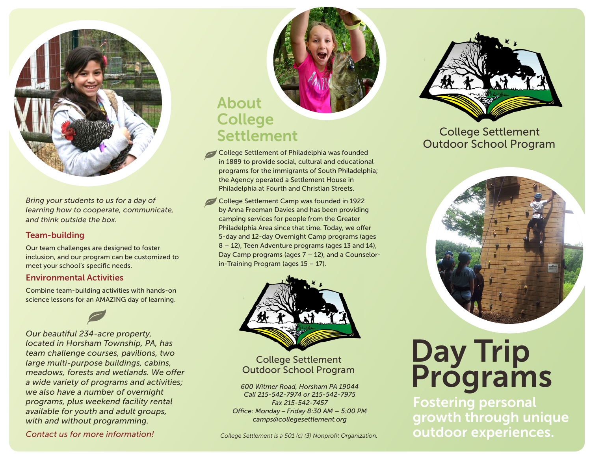

*Bring your students to us for a day of learning how to cooperate, communicate, and think outside the box.*

### Team-building

Our team challenges are designed to foster inclusion, and our program can be customized to meet your school's specific needs.

### Environmental Activities

Combine team-building activities with hands-on science lessons for an AMAZING day of learning.

*Our beautiful 234-acre property, located in Horsham Township, PA, has team challenge courses, pavilions, two large multi-purpose buildings, cabins, meadows, forests and wetlands. We offer a wide variety of programs and activities; we also have a number of overnight programs, plus weekend facility rental available for youth and adult groups, with and without programming.*

*Contact us for more information!*

## About **College Settlement**

- College Settlement of Philadelphia was founded in 1889 to provide social, cultural and educational programs for the immigrants of South Philadelphia; the Agency operated a Settlement House in Philadelphia at Fourth and Christian Streets.
- College Settlement Camp was founded in 1922 by Anna Freeman Davies and has been providing camping services for people from the Greater Philadelphia Area since that time. Today, we offer 5-day and 12-day Overnight Camp programs (ages 8 – 12), Teen Adventure programs (ages 13 and 14), Day Camp programs (ages 7 – 12), and a Counselorin-Training Program (ages 15 – 17).



### College Settlement Outdoor School Program

*Fax 215-542-7457 Office: Monday – Friday 8:30 AM – 5:00 PM camps@collegesettlement.org*

*College Settlement is a 501 (c) (3) Nonprofit Organization.*



### College Settlement Outdoor School Program



# Day Trip **Outdoor School Program**<br> *600 Witmer Road, Horsham PA 19044*<br> *Call 215-542-7974 or 215-542-7975*

Fostering personal growth through unique outdoor experiences.